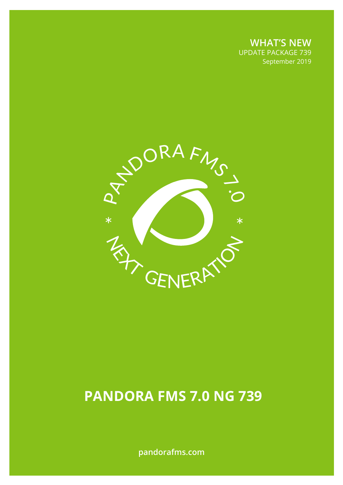**WHAT'S NEW** UPDATE PACKAGE 739 September 2019

September 2019



# **PANDORA FMS 7.0 NG 739**

**pandorafms.com**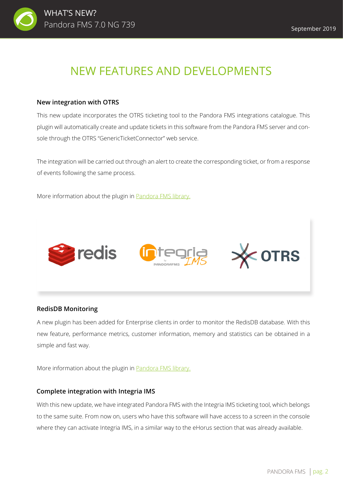

## NEW FEATURES AND DEVELOPMENTS

## **New integration with OTRS**

This new update incorporates the OTRS ticketing tool to the Pandora FMS integrations catalogue. This plugin will automatically create and update tickets in this software from the Pandora FMS server and console through the OTRS "GenericTicketConnector" web service.

The integration will be carried out through an alert to create the corresponding ticket, or from a response of events following the same process.

More information about the plugin in **Pandora FMS library.** 



## **RedisDB Monitoring**

A new plugin has been added for Enterprise clients in order to monitor the RedisDB database. With this new feature, performance metrics, customer information, memory and statistics can be obtained in a simple and fast way.

More information about the plugin in [Pandora FMS library.](https://pandorafms.com/library/otrs-integration-plugin/)

#### **Complete integration with Integria IMS**

With this new update, we have integrated Pandora FMS with the Integria IMS ticketing tool, which belongs to the same suite. From now on, users who have this software will have access to a screen in the console where they can activate Integria IMS, in a similar way to the eHorus section that was already available.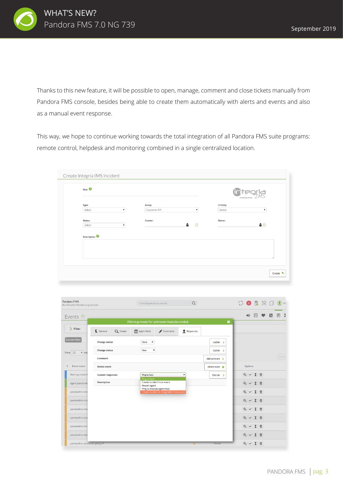

Thanks to this new feature, it will be possible to open, manage, comment and close tickets manually from Pandora FMS console, besides being able to create them automatically with alerts and events and also as a manual event response.

This way, we hope to continue working towards the total integration of all Pandora FMS suite programs: remote control, helpdesk and monitoring combined in a single centralized location.

| Title:       |    |                 |                    |                   | nria<br><b>PANDORAFMS</b> |
|--------------|----|-----------------|--------------------|-------------------|---------------------------|
| Type:        |    | Group:          |                    | <b>Criticity:</b> |                           |
| Select       | ۷. | Customer #A     | $\pmb{\mathrm{v}}$ | Select            | ۳                         |
| Status:      |    | <b>Creator:</b> |                    | Owner:            |                           |
| Select       |    |                 | ÷<br>$\odot$       |                   | $\bullet$ $\circ$         |
| Description: |    |                 |                    |                   |                           |
|              |    |                 |                    |                   |                           |
|              |    |                 |                    |                   |                           |
|              |    |                 |                    |                   |                           |
|              |    |                 |                    |                   |                           |

| Pandora FMS<br>the Flexible Monitoring System |                         | Enter keywords to search                                               | $\alpha$             |                           | $\begin{array}{c} \bigcirc \bullet & \text{R} \ \ \text{\&} \ \ \bigcirc \ \ \text{A} \ \ \text{and} \ \ \text{A} \ \ \text{and} \ \ \text{A} \ \ \text{and} \ \ \text{A} \ \ \text{and} \ \ \text{A} \ \ \text{and} \ \ \text{A} \ \ \text{and} \ \ \text{A} \ \ \text{and} \ \ \text{A} \ \ \text{and} \ \ \text{A} \ \ \text{and} \ \ \text{A} \ \ \text{and} \ \ \text{A} \ \ \text{and} \ \ \text{A} \ \ \text{and} \ \ \text{A} \ \ \text{and} \ \ \text{A} \$ |                                                                                                       |            |      |         |
|-----------------------------------------------|-------------------------|------------------------------------------------------------------------|----------------------|---------------------------|----------------------------------------------------------------------------------------------------------------------------------------------------------------------------------------------------------------------------------------------------------------------------------------------------------------------------------------------------------------------------------------------------------------------------------------------------------------------|-------------------------------------------------------------------------------------------------------|------------|------|---------|
| Events <sup>®</sup>                           |                         |                                                                        |                      |                           | $\blacksquare$                                                                                                                                                                                                                                                                                                                                                                                                                                                       | , a,                                                                                                  | $\bullet$  | 5 日: |         |
|                                               |                         | Warmup mode for unknown modules ended.                                 |                      | $\boldsymbol{\mathsf{x}}$ |                                                                                                                                                                                                                                                                                                                                                                                                                                                                      |                                                                                                       |            |      |         |
| > Filter                                      | General<br>Q Details    | $\boxed{\overline{*}}$ Agent fields<br>Comments                        | <b>P</b> Responses   |                           |                                                                                                                                                                                                                                                                                                                                                                                                                                                                      |                                                                                                       |            |      |         |
| <b>Current filter</b>                         | <b>Change owner</b>     | None<br>$\pmb{\mathrm{v}}$                                             |                      | $Update$ >                |                                                                                                                                                                                                                                                                                                                                                                                                                                                                      |                                                                                                       |            |      |         |
| Show 20<br>$\mathbf{v}$ ent                   | <b>Change status</b>    | New<br>۷.                                                              |                      | $Update$ >                |                                                                                                                                                                                                                                                                                                                                                                                                                                                                      |                                                                                                       |            |      |         |
|                                               | <b>Comment</b>          |                                                                        |                      | Add comment >             |                                                                                                                                                                                                                                                                                                                                                                                                                                                                      |                                                                                                       |            |      | Previou |
| Event name<br>s                               | <b>Delete event</b>     |                                                                        |                      | Delete event <b>x</b>     |                                                                                                                                                                                                                                                                                                                                                                                                                                                                      | Options                                                                                               |            |      |         |
| Warmup mode fr                                | <b>Custom responses</b> | Ping to host<br><b>Ping to host</b>                                    | $\blacktriangledown$ | Execute >                 |                                                                                                                                                                                                                                                                                                                                                                                                                                                                      | $Q \lor \boxed{Z} \quad \overline{w}$                                                                 |            |      |         |
| Agent [pandoraft                              | <b>Description</b>      | Create incident from event<br><b>Restart agent</b>                     |                      |                           |                                                                                                                                                                                                                                                                                                                                                                                                                                                                      | $\begin{smallmatrix} \mathbb{Q} & \checkmark & \mathbb{Z} & \mathbb{\bar{m}} \end{smallmatrix}$       |            |      |         |
| pandorafms ever                               |                         | Ping to module agent host<br>Create incident in IntegrialMS from event |                      |                           |                                                                                                                                                                                                                                                                                                                                                                                                                                                                      | $Q \lor \mathbf{Z} \mathbf{0}$                                                                        |            |      |         |
| pandorafms icm                                |                         |                                                                        |                      |                           |                                                                                                                                                                                                                                                                                                                                                                                                                                                                      | $Q \vee I \t\t\overline{I}$                                                                           |            |      |         |
| pandorafms inve                               |                         |                                                                        |                      |                           |                                                                                                                                                                                                                                                                                                                                                                                                                                                                      | $\begin{array}{c c c c c} \hline \mathbb{Q} & \mathbb{V} & \mathbb{Z} & \mathbb{\bar{m}} \end{array}$ |            |      |         |
| pandorafms pret                               |                         |                                                                        |                      |                           |                                                                                                                                                                                                                                                                                                                                                                                                                                                                      | $Q$ $\times$ $\Sigma$ $\bar{w}$                                                                       |            |      |         |
| pandorafms snm                                |                         |                                                                        |                      |                           |                                                                                                                                                                                                                                                                                                                                                                                                                                                                      | $Q \lor \boxed{2} =$                                                                                  |            |      |         |
| pandorafms web                                |                         |                                                                        |                      |                           |                                                                                                                                                                                                                                                                                                                                                                                                                                                                      | $Q \lor \mathbf{X} \mathbf{0}$                                                                        |            |      |         |
| pandorafms dataserver going UP                |                         |                                                                        |                      | 1 hours                   | $\begin{array}{c c} \hline \mathbb{Q} & \checkmark \end{array}$                                                                                                                                                                                                                                                                                                                                                                                                      |                                                                                                       | <b>X</b> 面 |      |         |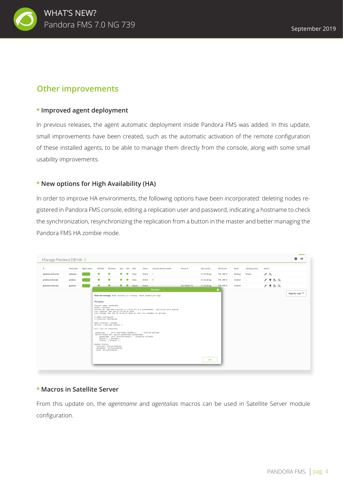

## **Other improvements**

### **\* Improved agent deployment**

In previous releases, the agent automatic deployment inside Pandora FMS was added. In this update, small improvements have been created, such as the automatic activation of the remote configuration of these installed agents, to be able to manage them directly from the console, along with some small usability improvements.

## **\* New options for High Availability (HA)**

In order to improve HA environments, the following options have been incorporated: deleting nodes registered in Pandora FMS console, editing a replication user and password, indicating a hostname to check the synchronization, resynchronizing the replication from a button in the master and better managing the Pandora FMS HA zombie mode.



#### **\* Macros in Satellite Server**

From this update on, the *agentname* and *agentalias* macros can be used in Satellite Server module configuration.